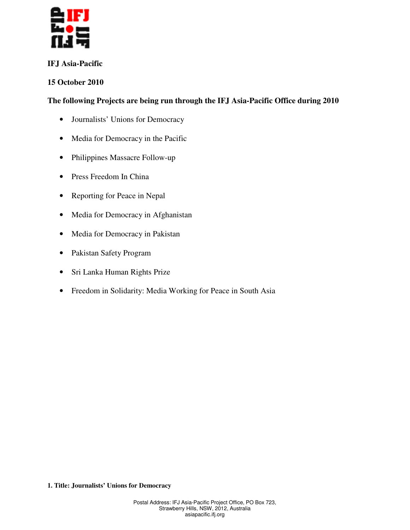

# **IFJ Asia-Pacific**

# **15 October 2010**

# **The following Projects are being run through the IFJ Asia-Pacific Office during 2010**

- Journalists' Unions for Democracy
- Media for Democracy in the Pacific
- Philippines Massacre Follow-up
- Press Freedom In China
- Reporting for Peace in Nepal
- Media for Democracy in Afghanistan
- Media for Democracy in Pakistan
- Pakistan Safety Program
- Sri Lanka Human Rights Prize
- Freedom in Solidarity: Media Working for Peace in South Asia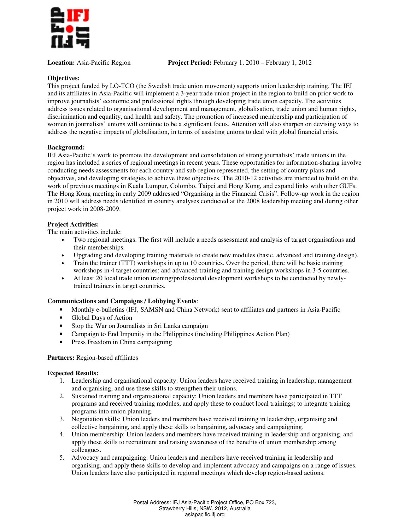

**Location:** Asia-Pacific Region **Project Period:** February 1, 2010 – February 1, 2012

# **Objectives:**

This project funded by LO-TCO (the Swedish trade union movement) supports union leadership training. The IFJ and its affiliates in Asia-Pacific will implement a 3-year trade union project in the region to build on prior work to improve journalists' economic and professional rights through developing trade union capacity. The activities address issues related to organisational development and management, globalisation, trade union and human rights, discrimination and equality, and health and safety. The promotion of increased membership and participation of women in journalists' unions will continue to be a significant focus. Attention will also sharpen on devising ways to address the negative impacts of globalisation, in terms of assisting unions to deal with global financial crisis.

# **Background:**

IFJ Asia-Pacific's work to promote the development and consolidation of strong journalists' trade unions in the region has included a series of regional meetings in recent years. These opportunities for information-sharing involve conducting needs assessments for each country and sub-region represented, the setting of country plans and objectives, and developing strategies to achieve these objectives. The 2010-12 activities are intended to build on the work of previous meetings in Kuala Lumpur, Colombo, Taipei and Hong Kong, and expand links with other GUFs. The Hong Kong meeting in early 2009 addressed "Organising in the Financial Crisis". Follow-up work in the region in 2010 will address needs identified in country analyses conducted at the 2008 leadership meeting and during other project work in 2008-2009.

# **Project Activities:**

The main activities include:

- Two regional meetings. The first will include a needs assessment and analysis of target organisations and their memberships.
- Upgrading and developing training materials to create new modules (basic, advanced and training design).
- Train the trainer (TTT) workshops in up to 10 countries. Over the period, there will be basic training workshops in 4 target countries; and advanced training and training design workshops in 3-5 countries.
- At least 20 local trade union training/professional development workshops to be conducted by newlytrained trainers in target countries.

# **Communications and Campaigns / Lobbying Events**:

- Monthly e-bulletins (IFJ, SAMSN and China Network) sent to affiliates and partners in Asia-Pacific
- Global Days of Action
- Stop the War on Journalists in Sri Lanka campaign
- Campaign to End Impunity in the Philippines (including Philippines Action Plan)
- Press Freedom in China campaigning

# **Partners:** Region-based affiliates

# **Expected Results:**

- 1. Leadership and organisational capacity: Union leaders have received training in leadership, management and organising, and use these skills to strengthen their unions.
- 2. Sustained training and organisational capacity: Union leaders and members have participated in TTT programs and received training modules, and apply these to conduct local trainings; to integrate training programs into union planning.
- 3. Negotiation skills: Union leaders and members have received training in leadership, organising and collective bargaining, and apply these skills to bargaining, advocacy and campaigning.
- 4. Union membership: Union leaders and members have received training in leadership and organising, and apply these skills to recruitment and raising awareness of the benefits of union membership among colleagues.
- 5. Advocacy and campaigning: Union leaders and members have received training in leadership and organising, and apply these skills to develop and implement advocacy and campaigns on a range of issues. Union leaders have also participated in regional meetings which develop region-based actions.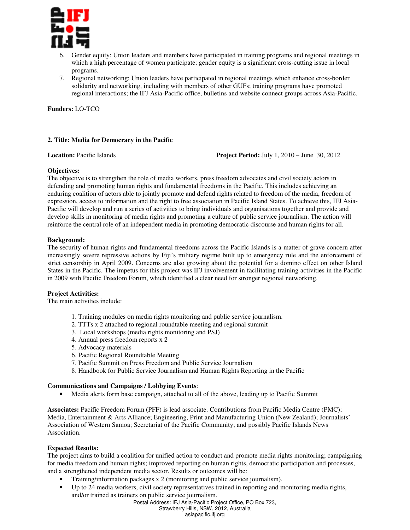

- Gender equity: Union leaders and members have participated in training programs and regional meetings in which a high percentage of women participate; gender equity is a significant cross-cutting issue in local programs.
- 7. Regional networking: Union leaders have participated in regional meetings which enhance cross-border solidarity and networking, including with members of other GUFs; training programs have promoted regional interactions; the IFJ Asia-Pacific office, bulletins and website connect groups across Asia-Pacific.

**Funders:** LO-TCO

# **2. Title: Media for Democracy in the Pacific**

**Location:** Pacific Islands **Project Period:** July 1, 2010 – June 30, 2012

#### **Objectives:**

The objective is to strengthen the role of media workers, press freedom advocates and civil society actors in defending and promoting human rights and fundamental freedoms in the Pacific. This includes achieving an enduring coalition of actors able to jointly promote and defend rights related to freedom of the media, freedom of expression, access to information and the right to free association in Pacific Island States. To achieve this, IFJ Asia-Pacific will develop and run a series of activities to bring individuals and organisations together and provide and develop skills in monitoring of media rights and promoting a culture of public service journalism. The action will reinforce the central role of an independent media in promoting democratic discourse and human rights for all.

#### **Background:**

The security of human rights and fundamental freedoms across the Pacific Islands is a matter of grave concern after increasingly severe repressive actions by Fiji's military regime built up to emergency rule and the enforcement of strict censorship in April 2009. Concerns are also growing about the potential for a domino effect on other Island States in the Pacific. The impetus for this project was IFJ involvement in facilitating training activities in the Pacific in 2009 with Pacific Freedom Forum, which identified a clear need for stronger regional networking.

# **Project Activities:**

The main activities include:

- 1. Training modules on media rights monitoring and public service journalism.
- 2. TTTs x 2 attached to regional roundtable meeting and regional summit
- 3. Local workshops (media rights monitoring and PSJ)
- 4. Annual press freedom reports x 2
- 5. Advocacy materials
- 6. Pacific Regional Roundtable Meeting
- 7. Pacific Summit on Press Freedom and Public Service Journalism
- 8. Handbook for Public Service Journalism and Human Rights Reporting in the Pacific

# **Communications and Campaigns / Lobbying Events**:

• Media alerts form base campaign, attached to all of the above, leading up to Pacific Summit

**Associates:** Pacific Freedom Forum (PFF) is lead associate. Contributions from Pacific Media Centre (PMC); Media, Entertainment & Arts Alliance; Engineering, Print and Manufacturing Union (New Zealand); Journalists' Association of Western Samoa; Secretariat of the Pacific Community; and possibly Pacific Islands News Association.

# **Expected Results:**

The project aims to build a coalition for unified action to conduct and promote media rights monitoring; campaigning for media freedom and human rights; improved reporting on human rights, democratic participation and processes, and a strengthened independent media sector. Results or outcomes will be:

- Training/information packages x 2 (monitoring and public service journalism).
- Up to 24 media workers, civil society representatives trained in reporting and monitoring media rights, and/or trained as trainers on public service journalism.

asiapacific.ifj.org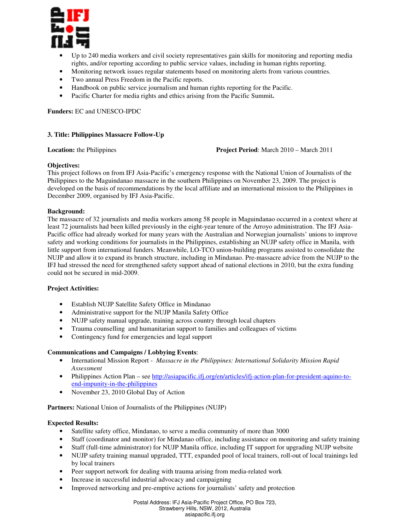

- Up to 240 media workers and civil society representatives gain skills for monitoring and reporting media rights, and/or reporting according to public service values, including in human rights reporting.
- Monitoring network issues regular statements based on monitoring alerts from various countries.
- Two annual Press Freedom in the Pacific reports.
- Handbook on public service journalism and human rights reporting for the Pacific.
- Pacific Charter for media rights and ethics arising from the Pacific Summit**.**

**Funders:** EC and UNESCO-IPDC

# **3. Title: Philippines Massacre Follow-Up**

**Location:** the Philippines **Project Period**: March 2010 – March 2011

#### **Objectives:**

This project follows on from IFJ Asia-Pacific's emergency response with the National Union of Journalists of the Philippines to the Maguindanao massacre in the southern Philippines on November 23, 2009. The project is developed on the basis of recommendations by the local affiliate and an international mission to the Philippines in December 2009, organised by IFJ Asia-Pacific.

#### **Background:**

The massacre of 32 journalists and media workers among 58 people in Maguindanao occurred in a context where at least 72 journalists had been killed previously in the eight-year tenure of the Arroyo administration. The IFJ Asia-Pacific office had already worked for many years with the Australian and Norwegian journalists' unions to improve safety and working conditions for journalists in the Philippines, establishing an NUJP safety office in Manila, with little support from international funders. Meanwhile, LO-TCO union-building programs assisted to consolidate the NUJP and allow it to expand its branch structure, including in Mindanao. Pre-massacre advice from the NUJP to the IFJ had stressed the need for strengthened safety support ahead of national elections in 2010, but the extra funding could not be secured in mid-2009.

# **Project Activities:**

- Establish NUJP Satellite Safety Office in Mindanao
- Administrative support for the NUJP Manila Safety Office
- NUJP safety manual upgrade, training across country through local chapters
- Trauma counselling and humanitarian support to families and colleagues of victims
- Contingency fund for emergencies and legal support

# **Communications and Campaigns / Lobbying Events**:

- International Mission Report *Massacre in the Philippines: International Solidarity Mission Rapid Assessment*
- Philippines Action Plan see http://asiapacific.ifj.org/en/articles/ifj-action-plan-for-president-aquino-toend-impunity-in-the-philippines
- November 23, 2010 Global Day of Action

**Partners:** National Union of Journalists of the Philippines (NUJP)

# **Expected Results:**

- Satellite safety office, Mindanao, to serve a media community of more than 3000
- Staff (coordinator and monitor) for Mindanao office, including assistance on monitoring and safety training
- Staff (full-time administrator) for NUJP Manila office, including IT support for upgrading NUJP website
- NUJP safety training manual upgraded, TTT, expanded pool of local trainers, roll-out of local trainings led by local trainers
- Peer support network for dealing with trauma arising from media-related work
- Increase in successful industrial advocacy and campaigning
- Improved networking and pre-emptive actions for journalists' safety and protection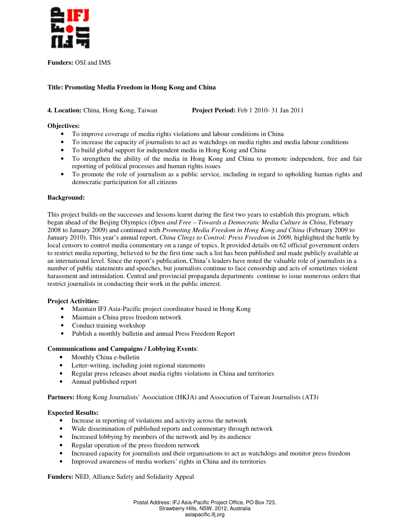

**Funders:** OSI and IMS

# **Title: Promoting Media Freedom in Hong Kong and China**

# **4. Location:** China, Hong Kong, Taiwan **Project Period:** Feb 1 2010- 31 Jan 2011

# **Objectives:**

- To improve coverage of media rights violations and labour conditions in China
- To increase the capacity of journalists to act as watchdogs on media rights and media labour conditions
- To build global support for independent media in Hong Kong and China
- To strengthen the ability of the media in Hong Kong and China to promote independent, free and fair reporting of political processes and human rights issues
- To promote the role of journalism as a public service, including in regard to upholding human rights and democratic participation for all citizens

# **Background:**

This project builds on the successes and lessons learnt during the first two years to establish this program, which began ahead of the Beijing Olympics (*Open and Free – Towards a Democratic Media Culture in China*, February 2008 to January 2009) and continued with *Promoting Media Freedom in Hong Kong and China* (February 2009 to January 2010). This year's annual report, *China Clings to Control: Press Freedom in 2009,* highlighted the battle by local censors to control media commentary on a range of topics. It provided details on 62 official government orders to restrict media reporting, believed to be the first time such a list has been published and made publicly available at an international level. Since the report's publication, China's leaders have noted the valuable role of journalists in a number of public statements and speeches, but journalists continue to face censorship and acts of sometimes violent harassment and intimidation. Central and provincial propaganda departments continue to issue numerous orders that restrict journalists in conducting their work in the public interest.

# **Project Activities:**

- Maintain IFJ Asia-Pacific project coordinator based in Hong Kong
- Maintain a China press freedom network
- Conduct training workshop
- Publish a monthly bulletin and annual Press Freedom Report

# **Communications and Campaigns / Lobbying Events**:

- Monthly China e-bulletin
- Letter-writing, including joint regional statements
- Regular press releases about media rights violations in China and territories
- Annual published report

**Partners:** Hong Kong Journalists' Association (HKJA) and Association of Taiwan Journalists (ATJ)

# **Expected Results:**

- Increase in reporting of violations and activity across the network
- Wide dissemination of published reports and commentary through network
- Increased lobbying by members of the network and by its audience
- Regular operation of the press freedom network
- Increased capacity for journalists and their organisations to act as watchdogs and monitor press freedom
- Improved awareness of media workers' rights in China and its territories

**Funders:** NED, Alliance Safety and Solidarity Appeal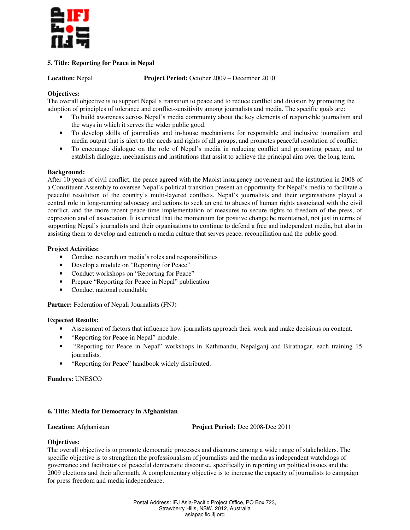

# **5. Title: Reporting for Peace in Nepal**

**Location:** Nepal **Project Period:** October 2009 – December 2010

# **Objectives:**

The overall objective is to support Nepal's transition to peace and to reduce conflict and division by promoting the adoption of principles of tolerance and conflict-sensitivity among journalists and media. The specific goals are:

- To build awareness across Nepal's media community about the key elements of responsible journalism and the ways in which it serves the wider public good.
- To develop skills of journalists and in-house mechanisms for responsible and inclusive journalism and media output that is alert to the needs and rights of all groups, and promotes peaceful resolution of conflict.
- To encourage dialogue on the role of Nepal's media in reducing conflict and promoting peace, and to establish dialogue, mechanisms and institutions that assist to achieve the principal aim over the long term.

#### **Background:**

After 10 years of civil conflict, the peace agreed with the Maoist insurgency movement and the institution in 2008 of a Constituent Assembly to oversee Nepal's political transition present an opportunity for Nepal's media to facilitate a peaceful resolution of the country's multi-layered conflicts. Nepal's journalists and their organisations played a central role in long-running advocacy and actions to seek an end to abuses of human rights associated with the civil conflict, and the more recent peace-time implementation of measures to secure rights to freedom of the press, of expression and of association. It is critical that the momentum for positive change be maintained, not just in terms of supporting Nepal's journalists and their organisations to continue to defend a free and independent media, but also in assisting them to develop and entrench a media culture that serves peace, reconciliation and the public good.

# **Project Activities:**

- Conduct research on media's roles and responsibilities
- Develop a module on "Reporting for Peace"
- Conduct workshops on "Reporting for Peace"
- Prepare "Reporting for Peace in Nepal" publication
- Conduct national roundtable

**Partner:** Federation of Nepali Journalists (FNJ)

# **Expected Results:**

- Assessment of factors that influence how journalists approach their work and make decisions on content.
- "Reporting for Peace in Nepal" module.
- "Reporting for Peace in Nepal" workshops in Kathmandu, Nepalganj and Biratnagar, each training 15 journalists.
- "Reporting for Peace" handbook widely distributed.

**Funders:** UNESCO

# **6. Title: Media for Democracy in Afghanistan**

**Location:** Afghanistan **Project Period:** Dec 2008-Dec 2011

# **Objectives:**

The overall objective is to promote democratic processes and discourse among a wide range of stakeholders. The specific objective is to strengthen the professionalism of journalists and the media as independent watchdogs of governance and facilitators of peaceful democratic discourse, specifically in reporting on political issues and the 2009 elections and their aftermath. A complementary objective is to increase the capacity of journalists to campaign for press freedom and media independence.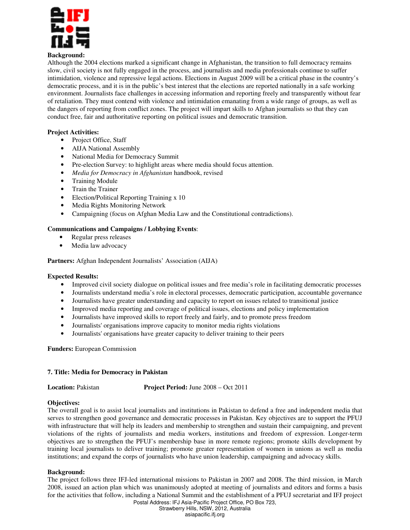

# **Background:**

Although the 2004 elections marked a significant change in Afghanistan, the transition to full democracy remains slow, civil society is not fully engaged in the process, and journalists and media professionals continue to suffer intimidation, violence and repressive legal actions. Elections in August 2009 will be a critical phase in the country's democratic process, and it is in the public's best interest that the elections are reported nationally in a safe working environment. Journalists face challenges in accessing information and reporting freely and transparently without fear of retaliation. They must contend with violence and intimidation emanating from a wide range of groups, as well as the dangers of reporting from conflict zones. The project will impart skills to Afghan journalists so that they can conduct free, fair and authoritative reporting on political issues and democratic transition.

# **Project Activities:**

- Project Office, Staff
- AIJA National Assembly
- National Media for Democracy Summit
- Pre-election Survey: to highlight areas where media should focus attention.
- *Media for Democracy in Afghanistan* handbook, revised
- Training Module
- Train the Trainer
- Election/Political Reporting Training x 10
- Media Rights Monitoring Network
- Campaigning (focus on Afghan Media Law and the Constitutional contradictions).

# **Communications and Campaigns / Lobbying Events**:

- Regular press releases
- Media law advocacy

# **Partners:** Afghan Independent Journalists' Association (AIJA)

# **Expected Results:**

- Improved civil society dialogue on political issues and free media's role in facilitating democratic processes
- Journalists understand media's role in electoral processes, democratic participation, accountable governance
- Journalists have greater understanding and capacity to report on issues related to transitional justice
- Improved media reporting and coverage of political issues, elections and policy implementation
- Journalists have improved skills to report freely and fairly, and to promote press freedom
- Journalists' organisations improve capacity to monitor media rights violations
- Journalists' organisations have greater capacity to deliver training to their peers

**Funders:** European Commission

# **7. Title: Media for Democracy in Pakistan**

**Location:** Pakistan **Project Period:** June 2008 – Oct 2011

# **Objectives:**

The overall goal is to assist local journalists and institutions in Pakistan to defend a free and independent media that serves to strengthen good governance and democratic processes in Pakistan. Key objectives are to support the PFUJ with infrastructure that will help its leaders and membership to strengthen and sustain their campaigning, and prevent violations of the rights of journalists and media workers, institutions and freedom of expression. Longer-term objectives are to strengthen the PFUJ's membership base in more remote regions; promote skills development by training local journalists to deliver training; promote greater representation of women in unions as well as media institutions; and expand the corps of journalists who have union leadership, campaigning and advocacy skills.

# **Background:**

The project follows three IFJ-led international missions to Pakistan in 2007 and 2008. The third mission, in March 2008, issued an action plan which was unanimously adopted at meeting of journalists and editors and forms a basis for the activities that follow, including a National Summit and the establishment of a PFUJ secretariat and IFJ project

Postal Address: IFJ Asia-Pacific Project Office, PO Box 723,

Strawberry Hills, NSW, 2012, Australia

asiapacific.ifj.org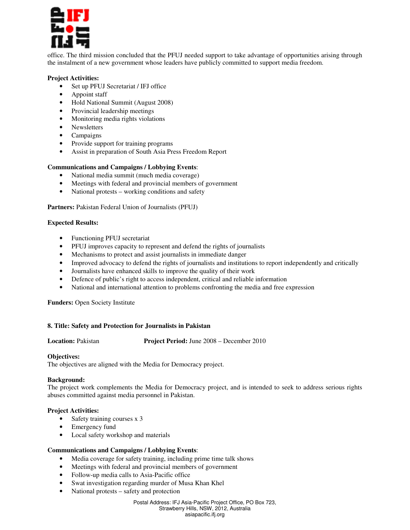

office. The third mission concluded that the PFUJ needed support to take advantage of opportunities arising through the instalment of a new government whose leaders have publicly committed to support media freedom.

#### **Project Activities:**

- Set up PFUJ Secretariat / IFJ office
- Appoint staff
- Hold National Summit (August 2008)
- Provincial leadership meetings
- Monitoring media rights violations
- Newsletters
- Campaigns
- Provide support for training programs
- Assist in preparation of South Asia Press Freedom Report

#### **Communications and Campaigns / Lobbying Events**:

- National media summit (much media coverage)
- Meetings with federal and provincial members of government
- National protests working conditions and safety

#### Partners: Pakistan Federal Union of Journalists (PFUJ)

#### **Expected Results:**

- Functioning PFUJ secretariat
- PFUJ improves capacity to represent and defend the rights of journalists
- Mechanisms to protect and assist journalists in immediate danger
- Improved advocacy to defend the rights of journalists and institutions to report independently and critically
- Journalists have enhanced skills to improve the quality of their work
- Defence of public's right to access independent, critical and reliable information
- National and international attention to problems confronting the media and free expression

#### **Funders:** Open Society Institute

#### **8. Title: Safety and Protection for Journalists in Pakistan**

**Location:** Pakistan **Project Period:** June 2008 – December 2010

#### **Objectives:**

The objectives are aligned with the Media for Democracy project.

#### **Background:**

The project work complements the Media for Democracy project, and is intended to seek to address serious rights abuses committed against media personnel in Pakistan.

#### **Project Activities:**

- Safety training courses x 3
- Emergency fund
- Local safety workshop and materials

#### **Communications and Campaigns / Lobbying Events**:

- Media coverage for safety training, including prime time talk shows
- Meetings with federal and provincial members of government
- Follow-up media calls to Asia-Pacific office
- Swat investigation regarding murder of Musa Khan Khel
- National protests safety and protection

#### Postal Address: IFJ Asia-Pacific Project Office, PO Box 723, Strawberry Hills, NSW, 2012, Australia asiapacific.ifj.org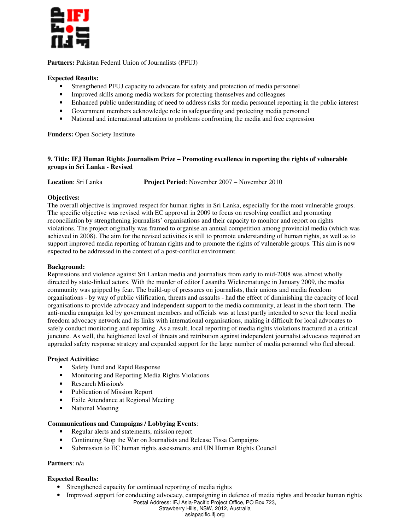

Partners: Pakistan Federal Union of Journalists (PFUJ)

# **Expected Results:**

- Strengthened PFUJ capacity to advocate for safety and protection of media personnel
- Improved skills among media workers for protecting themselves and colleagues
- Enhanced public understanding of need to address risks for media personnel reporting in the public interest
- Government members acknowledge role in safeguarding and protecting media personnel
- National and international attention to problems confronting the media and free expression

**Funders:** Open Society Institute

#### **9. Title: IFJ Human Rights Journalism Prize – Promoting excellence in reporting the rights of vulnerable groups in Sri Lanka - Revised**

#### **Objectives:**

The overall objective is improved respect for human rights in Sri Lanka, especially for the most vulnerable groups. The specific objective was revised with EC approval in 2009 to focus on resolving conflict and promoting reconciliation by strengthening journalists' organisations and their capacity to monitor and report on rights violations. The project originally was framed to organise an annual competition among provincial media (which was achieved in 2008). The aim for the revised activities is still to promote understanding of human rights, as well as to support improved media reporting of human rights and to promote the rights of vulnerable groups. This aim is now expected to be addressed in the context of a post-conflict environment.

#### **Background:**

Repressions and violence against Sri Lankan media and journalists from early to mid-2008 was almost wholly directed by state-linked actors. With the murder of editor Lasantha Wickrematunge in January 2009, the media community was gripped by fear. The build-up of pressures on journalists, their unions and media freedom organisations - by way of public vilification, threats and assaults - had the effect of diminishing the capacity of local organisations to provide advocacy and independent support to the media community, at least in the short term. The anti-media campaign led by government members and officials was at least partly intended to sever the local media freedom advocacy network and its links with international organisations, making it difficult for local advocates to safely conduct monitoring and reporting. As a result, local reporting of media rights violations fractured at a critical juncture. As well, the heightened level of threats and retribution against independent journalist advocates required an upgraded safety response strategy and expanded support for the large number of media personnel who fled abroad.

# **Project Activities:**

- Safety Fund and Rapid Response
- Monitoring and Reporting Media Rights Violations
- Research Mission/s
- Publication of Mission Report
- Exile Attendance at Regional Meeting
- National Meeting

#### **Communications and Campaigns / Lobbying Events**:

- Regular alerts and statements, mission report
- Continuing Stop the War on Journalists and Release Tissa Campaigns
- Submission to EC human rights assessments and UN Human Rights Council

#### **Partners**: n/a

# **Expected Results:**

- Strengthened capacity for continued reporting of media rights
- Postal Address: IFJ Asia-Pacific Project Office, PO Box 723, • Improved support for conducting advocacy, campaigning in defence of media rights and broader human rights

Strawberry Hills, NSW, 2012, Australia

asiapacific.ifj.org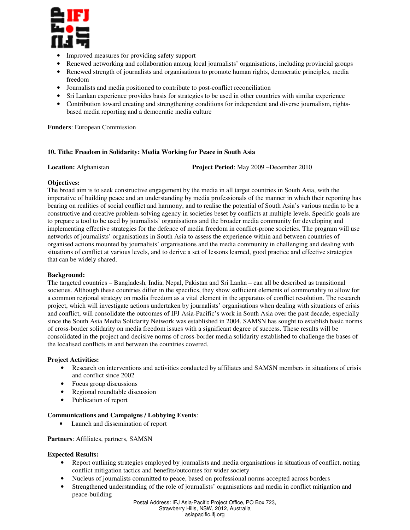

- Improved measures for providing safety support
- Renewed networking and collaboration among local journalists' organisations, including provincial groups
- Renewed strength of journalists and organisations to promote human rights, democratic principles, media freedom
- Journalists and media positioned to contribute to post-conflict reconciliation
- Sri Lankan experience provides basis for strategies to be used in other countries with similar experience
- Contribution toward creating and strengthening conditions for independent and diverse journalism, rightsbased media reporting and a democratic media culture

**Funders**: European Commission

#### **10. Title: Freedom in Solidarity: Media Working for Peace in South Asia**

**Location:** Afghanistan **Project Period**: May 2009 –December 2010

# **Objectives:**

The broad aim is to seek constructive engagement by the media in all target countries in South Asia, with the imperative of building peace and an understanding by media professionals of the manner in which their reporting has bearing on realities of social conflict and harmony, and to realise the potential of South Asia's various media to be a constructive and creative problem-solving agency in societies beset by conflicts at multiple levels. Specific goals are to prepare a tool to be used by journalists' organisations and the broader media community for developing and implementing effective strategies for the defence of media freedom in conflict-prone societies. The program will use networks of journalists' organisations in South Asia to assess the experience within and between countries of organised actions mounted by journalists' organisations and the media community in challenging and dealing with situations of conflict at various levels, and to derive a set of lessons learned, good practice and effective strategies that can be widely shared.

# **Background:**

The targeted countries – Bangladesh, India, Nepal, Pakistan and Sri Lanka – can all be described as transitional societies. Although these countries differ in the specifics, they show sufficient elements of commonality to allow for a common regional strategy on media freedom as a vital element in the apparatus of conflict resolution. The research project, which will investigate actions undertaken by journalists' organisations when dealing with situations of crisis and conflict, will consolidate the outcomes of IFJ Asia-Pacific's work in South Asia over the past decade, especially since the South Asia Media Solidarity Network was established in 2004. SAMSN has sought to establish basic norms of cross-border solidarity on media freedom issues with a significant degree of success. These results will be consolidated in the project and decisive norms of cross-border media solidarity established to challenge the bases of the localised conflicts in and between the countries covered.

# **Project Activities:**

- Research on interventions and activities conducted by affiliates and SAMSN members in situations of crisis and conflict since 2002
- Focus group discussions
- Regional roundtable discussion
- Publication of report

# **Communications and Campaigns / Lobbying Events**:

• Launch and dissemination of report

# **Partners**: Affiliates, partners, SAMSN

# **Expected Results:**

- Report outlining strategies employed by journalists and media organisations in situations of conflict, noting conflict mitigation tactics and benefits/outcomes for wider society
- Nucleus of journalists committed to peace, based on professional norms accepted across borders
- Strengthened understanding of the role of journalists' organisations and media in conflict mitigation and peace-building